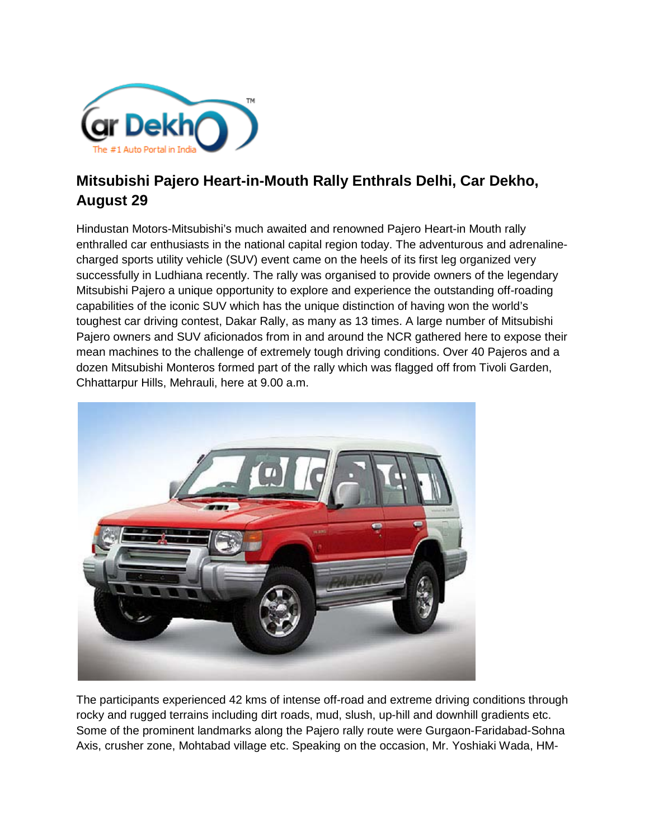

## **Mitsubishi Pajero Heart-in-Mouth Rally Enthrals Delhi, Car Dekho, August 29**

Hindustan Motors-Mitsubishi's much awaited and renowned Pajero Heart-in Mouth rally enthralled car enthusiasts in the national capital region today. The adventurous and adrenalinecharged sports utility vehicle (SUV) event came on the heels of its first leg organized very successfully in Ludhiana recently. The rally was organised to provide owners of the legendary Mitsubishi Pajero a unique opportunity to explore and experience the outstanding off-roading capabilities of the iconic SUV which has the unique distinction of having won the world's toughest car driving contest, Dakar Rally, as many as 13 times. A large number of Mitsubishi Pajero owners and SUV aficionados from in and around the NCR gathered here to expose their mean machines to the challenge of extremely tough driving conditions. Over 40 Pajeros and a dozen Mitsubishi Monteros formed part of the rally which was flagged off from Tivoli Garden, Chhattarpur Hills, Mehrauli, here at 9.00 a.m.



The participants experienced 42 kms of intense off-road and extreme driving conditions through rocky and rugged terrains including dirt roads, mud, slush, up-hill and downhill gradients etc. Some of the prominent landmarks along the Pajero rally route were Gurgaon-Faridabad-Sohna Axis, crusher zone, Mohtabad village etc. Speaking on the occasion, Mr. Yoshiaki Wada, HM-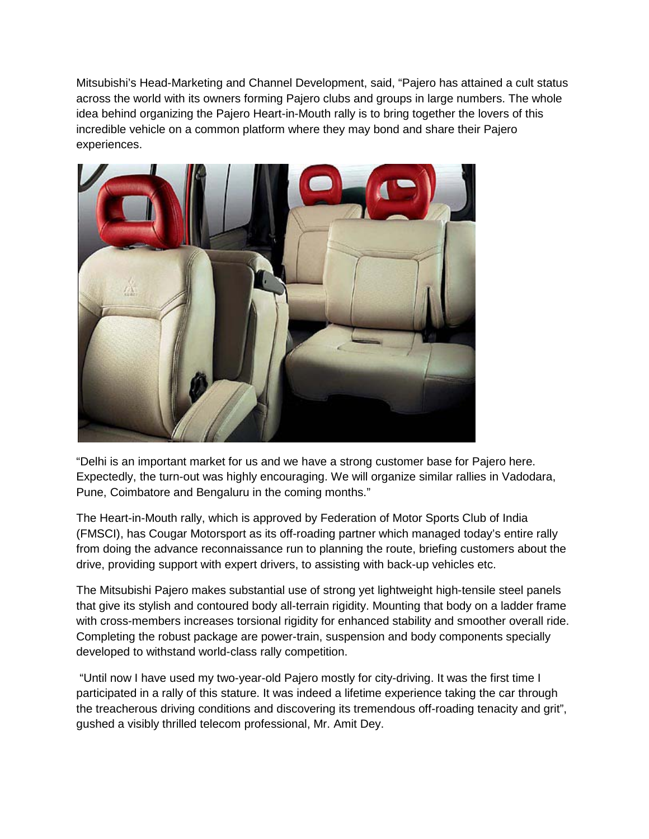Mitsubishi's Head-Marketing and Channel Development, said, "Pajero has attained a cult status across the world with its owners forming Pajero clubs and groups in large numbers. The whole idea behind organizing the Pajero Heart-in-Mouth rally is to bring together the lovers of this incredible vehicle on a common platform where they may bond and share their Pajero experiences.



"Delhi is an important market for us and we have a strong customer base for Pajero here. Expectedly, the turn-out was highly encouraging. We will organize similar rallies in Vadodara, Pune, Coimbatore and Bengaluru in the coming months."

The Heart-in-Mouth rally, which is approved by Federation of Motor Sports Club of India (FMSCI), has Cougar Motorsport as its off-roading partner which managed today's entire rally from doing the advance reconnaissance run to planning the route, briefing customers about the drive, providing support with expert drivers, to assisting with back-up vehicles etc.

The Mitsubishi Pajero makes substantial use of strong yet lightweight high-tensile steel panels that give its stylish and contoured body all-terrain rigidity. Mounting that body on a ladder frame with cross-members increases torsional rigidity for enhanced stability and smoother overall ride. Completing the robust package are power-train, suspension and body components specially developed to withstand world-class rally competition.

"Until now I have used my two-year-old Pajero mostly for city-driving. It was the first time I participated in a rally of this stature. It was indeed a lifetime experience taking the car through the treacherous driving conditions and discovering its tremendous off-roading tenacity and grit", gushed a visibly thrilled telecom professional, Mr. Amit Dey.